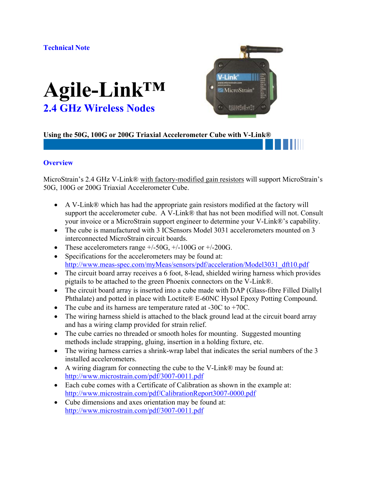# **Technical Note**





# **Using the 50G, 100G or 200G Triaxial Accelerometer Cube with V-Link®**

### **Overview**

MicroStrain's 2.4 GHz V-Link® with factory-modified gain resistors will support MicroStrain's 50G, 100G or 200G Triaxial Accelerometer Cube.

- A V-Link® which has had the appropriate gain resistors modified at the factory will support the accelerometer cube. A V-Link® that has not been modified will not. Consult your invoice or a MicroStrain support engineer to determine your V-Link®'s capability.
- The cube is manufactured with 3 ICSensors Model 3031 accelerometers mounted on 3 interconnected MicroStrain circuit boards.
- These accelerometers range  $+/-50G$ ,  $+/-100G$  or  $+/-200G$ .
- Specifications for the accelerometers may be found at: http://www.meas-spec.com/myMeas/sensors/pdf/acceleration/Model3031\_dft10.pdf
- The circuit board array receives a 6 foot, 8-lead, shielded wiring harness which provides pigtails to be attached to the green Phoenix connectors on the V-Link®.
- The circuit board array is inserted into a cube made with DAP (Glass-fibre Filled Diallyl) Phthalate) and potted in place with Loctite® E-60NC Hysol Epoxy Potting Compound.
- The cube and its harness are temperature rated at -30C to +70C.
- The wiring harness shield is attached to the black ground lead at the circuit board array and has a wiring clamp provided for strain relief.
- The cube carries no threaded or smooth holes for mounting. Suggested mounting methods include strapping, gluing, insertion in a holding fixture, etc.
- The wiring harness carries a shrink-wrap label that indicates the serial numbers of the 3 installed accelerometers.
- A wiring diagram for connecting the cube to the V-Link® may be found at: http://www.microstrain.com/pdf/3007-0011.pdf
- Each cube comes with a Certificate of Calibration as shown in the example at: http://www.microstrain.com/pdf/CalibrationReport3007-0000.pdf
- Cube dimensions and axes orientation may be found at: http://www.microstrain.com/pdf/3007-0011.pdf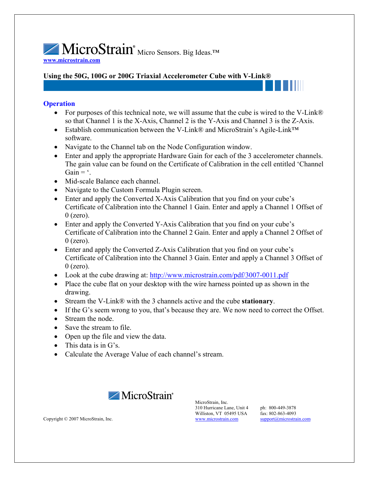MicroStrain® Micro Sensors. Big Ideas.™ **www.microstrain.com**

# **Using the 50G, 100G or 200G Triaxial Accelerometer Cube with V-Link®**

# **Operation**

- For purposes of this technical note, we will assume that the cube is wired to the V-Link® so that Channel 1 is the X-Axis, Channel 2 is the Y-Axis and Channel 3 is the Z-Axis.
- Establish communication between the V-Link® and MicroStrain's Agile-Link™ software.
- Navigate to the Channel tab on the Node Configuration window.
- Enter and apply the appropriate Hardware Gain for each of the 3 accelerometer channels. The gain value can be found on the Certificate of Calibration in the cell entitled 'Channel Gain  $=$   $\dot{\phantom{1}}$ .
- Mid-scale Balance each channel.
- Navigate to the Custom Formula Plugin screen.
- Enter and apply the Converted X-Axis Calibration that you find on your cube's Certificate of Calibration into the Channel 1 Gain. Enter and apply a Channel 1 Offset of  $0$  (zero).
- Enter and apply the Converted Y-Axis Calibration that you find on your cube's Certificate of Calibration into the Channel 2 Gain. Enter and apply a Channel 2 Offset of  $0$  (zero).
- Enter and apply the Converted Z-Axis Calibration that you find on your cube's Certificate of Calibration into the Channel 3 Gain. Enter and apply a Channel 3 Offset of  $0$  (zero).
- Look at the cube drawing at: http://www.microstrain.com/pdf/3007-0011.pdf
- Place the cube flat on your desktop with the wire harness pointed up as shown in the drawing.
- Stream the V-Link® with the 3 channels active and the cube **stationary**.
- If the G's seem wrong to you, that's because they are. We now need to correct the Offset.
- Stream the node.
- Save the stream to file.
- Open up the file and view the data.
- This data is in G's.
- Calculate the Average Value of each channel's stream.



MicroStrain, Inc. 310 Hurricane Lane, Unit 4 ph: 800-449-3878 Williston, VT 05495 USA fax: 802-863-4093<br>www.microstrain.com support@microstrain.com

Copyright  $©$  2007 MicroStrain, Inc.